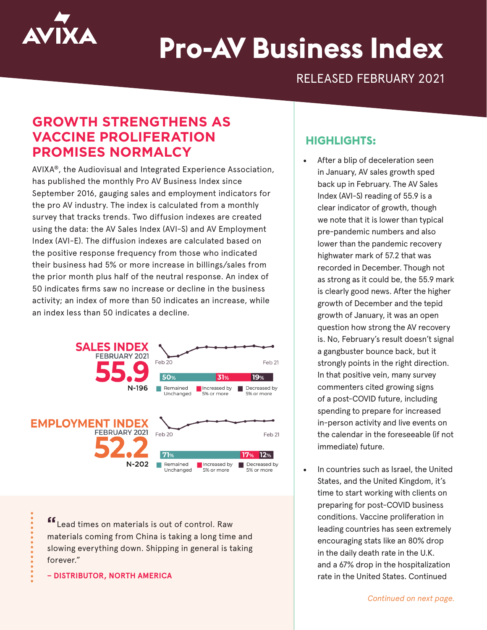

# **Pro-AV Business Index**

RELEASED FEBRUARY 2021

# **GROWTH STRENGTHENS AS VACCINE PROLIFERATION PROMISES NORMALCY**

AVIXA®, the Audiovisual and Integrated Experience Association, has published the monthly Pro AV Business Index since September 2016, gauging sales and employment indicators for the pro AV industry. The index is calculated from a monthly survey that tracks trends. Two diffusion indexes are created using the data: the AV Sales Index (AVI-S) and AV Employment Index (AVI-E). The diffusion indexes are calculated based on the positive response frequency from those who indicated their business had 5% or more increase in billings/sales from the prior month plus half of the neutral response. An index of 50 indicates firms saw no increase or decline in the business activity; an index of more than 50 indicates an increase, while an index less than 50 indicates a decline.



**"**Lead times on materials is out of control. Raw materials coming from China is taking a long time and slowing everything down. Shipping in general is taking forever."

**– DISTRIBUTOR, NORTH AMERICA**

## **HIGHLIGHTS:**

- After a blip of deceleration seen in January, AV sales growth sped back up in February. The AV Sales Index (AVI-S) reading of 55.9 is a clear indicator of growth, though we note that it is lower than typical pre-pandemic numbers and also lower than the pandemic recovery highwater mark of 57.2 that was recorded in December. Though not as strong as it could be, the 55.9 mark is clearly good news. After the higher growth of December and the tepid growth of January, it was an open question how strong the AV recovery is. No, February's result doesn't signal a gangbuster bounce back, but it strongly points in the right direction. In that positive vein, many survey commenters cited growing signs of a post-COVID future, including spending to prepare for increased in-person activity and live events on the calendar in the foreseeable (if not immediate) future.
- In countries such as Israel, the United States, and the United Kingdom, it's time to start working with clients on preparing for post-COVID business conditions. Vaccine proliferation in leading countries has seen extremely encouraging stats like an 80% drop in the daily death rate in the U.K. and a 67% drop in the hospitalization rate in the United States. Continued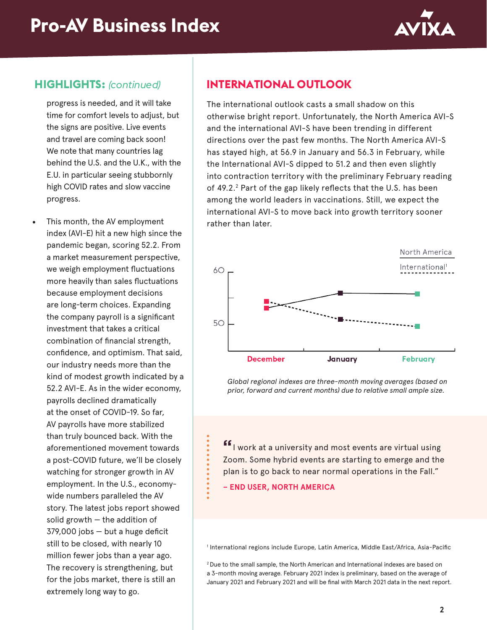

### **HIGHLIGHTS:** *(continued)*

progress is needed, and it will take time for comfort levels to adjust, but the signs are positive. Live events and travel are coming back soon! We note that many countries lag behind the U.S. and the U.K., with the E.U. in particular seeing stubbornly high COVID rates and slow vaccine progress.

This month, the AV employment index (AVI-E) hit a new high since the pandemic began, scoring 52.2. From a market measurement perspective, we weigh employment fluctuations more heavily than sales fluctuations because employment decisions are long-term choices. Expanding the company payroll is a significant investment that takes a critical combination of financial strength, confidence, and optimism. That said, our industry needs more than the kind of modest growth indicated by a 52.2 AVI-E. As in the wider economy, payrolls declined dramatically at the onset of COVID-19. So far, AV payrolls have more stabilized than truly bounced back. With the aforementioned movement towards a post-COVID future, we'll be closely watching for stronger growth in AV employment. In the U.S., economywide numbers paralleled the AV story. The latest jobs report showed solid growth  $-$  the addition of 379,000 jobs — but a huge deficit still to be closed, with nearly 10 million fewer jobs than a year ago. The recovery is strengthening, but for the jobs market, there is still an extremely long way to go.

# **INTERNATIONAL OUTLOOK**

The international outlook casts a small shadow on this otherwise bright report. Unfortunately, the North America AVI-S and the international AVI-S have been trending in different directions over the past few months. The North America AVI-S has stayed high, at 56.9 in January and 56.3 in February, while the International AVI-S dipped to 51.2 and then even slightly into contraction territory with the preliminary February reading of 49.2.<sup>2</sup> Part of the gap likely reflects that the U.S. has been among the world leaders in vaccinations. Still, we expect the international AVI-S to move back into growth territory sooner rather than later.



*Global regional indexes are three-month moving averages (based on prior, forward and current months) due to relative small ample size.*

**"**I work at a university and most events are virtual using Zoom. Some hybrid events are starting to emerge and the plan is to go back to near normal operations in the Fall."

**– END USER, NORTH AMERICA**

1 International regions include Europe, Latin America, Middle East/Africa, Asia-Pacific

2 Due to the small sample, the North American and International indexes are based on a 3-month moving average. February 2021 index is preliminary, based on the average of January 2021 and February 2021 and will be final with March 2021 data in the next report.